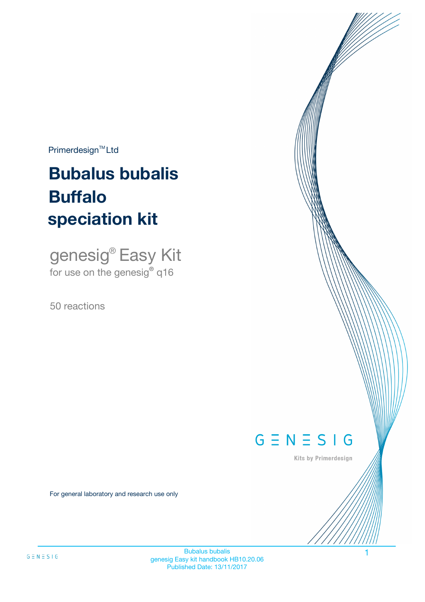$Primerdesign^{\text{TM}}Ltd$ 

# **Bubalus bubalis speciation kit Buffalo**

genesig® Easy Kit for use on the genesig**®** q16

50 reactions



Kits by Primerdesign

For general laboratory and research use only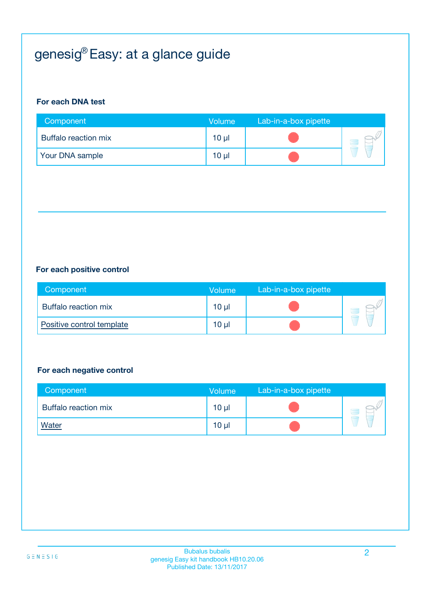# genesig® Easy: at a glance guide

#### **For each DNA test**

| Component                   | <b>Volume</b>   | Lab-in-a-box pipette |  |
|-----------------------------|-----------------|----------------------|--|
| <b>Buffalo reaction mix</b> | $10 \mu$        |                      |  |
| Your DNA sample             | 10 <sub>µ</sub> |                      |  |

#### **For each positive control**

| Component                 | Volume | Lab-in-a-box pipette |  |
|---------------------------|--------|----------------------|--|
| Buffalo reaction mix      | 10 µl  |                      |  |
| Positive control template | 10 µl  |                      |  |

#### **For each negative control**

| Component            | <b>Volume</b>   | Lab-in-a-box pipette |  |
|----------------------|-----------------|----------------------|--|
| Buffalo reaction mix | $10 \mu$        |                      |  |
| <b>Water</b>         | 10 <sub>µ</sub> |                      |  |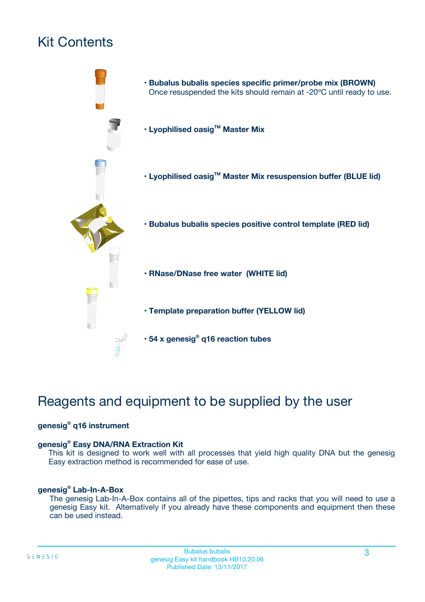# Kit Contents



# Reagents and equipment to be supplied by the user

#### **genesig® q16 instrument**

#### **genesig® Easy DNA/RNA Extraction Kit**

This kit is designed to work well with all processes that yield high quality DNA but the genesig Easy extraction method is recommended for ease of use.

#### **genesig® Lab-In-A-Box**

The genesig Lab-In-A-Box contains all of the pipettes, tips and racks that you will need to use a genesig Easy kit. Alternatively if you already have these components and equipment then these can be used instead.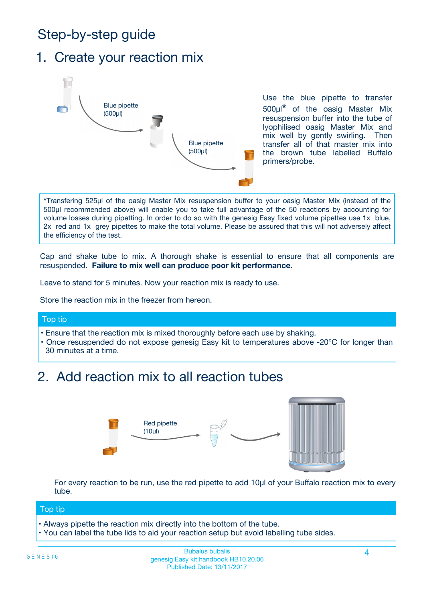# Step-by-step guide

### 1. Create your reaction mix



Use the blue pipette to transfer 500µl**\*** of the oasig Master Mix resuspension buffer into the tube of lyophilised oasig Master Mix and mix well by gently swirling. Then transfer all of that master mix into the brown tube labelled Buffalo primers/probe.

**\***Transfering 525µl of the oasig Master Mix resuspension buffer to your oasig Master Mix (instead of the 500µl recommended above) will enable you to take full advantage of the 50 reactions by accounting for volume losses during pipetting. In order to do so with the genesig Easy fixed volume pipettes use 1x blue, 2x red and 1x grey pipettes to make the total volume. Please be assured that this will not adversely affect the efficiency of the test.

Cap and shake tube to mix. A thorough shake is essential to ensure that all components are resuspended. **Failure to mix well can produce poor kit performance.**

Leave to stand for 5 minutes. Now your reaction mix is ready to use.

Store the reaction mix in the freezer from hereon.

#### Top tip

- Ensure that the reaction mix is mixed thoroughly before each use by shaking.
- **•** Once resuspended do not expose genesig Easy kit to temperatures above -20°C for longer than 30 minutes at a time.

## 2. Add reaction mix to all reaction tubes



For every reaction to be run, use the red pipette to add 10µl of your Buffalo reaction mix to every tube.

#### Top tip

- Always pipette the reaction mix directly into the bottom of the tube.
- You can label the tube lids to aid your reaction setup but avoid labelling tube sides.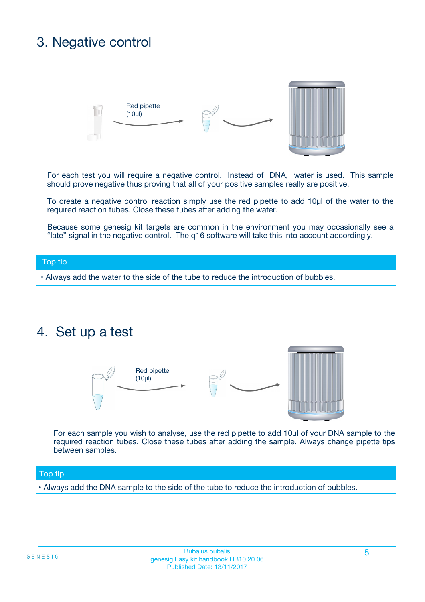# 3. Negative control



For each test you will require a negative control. Instead of DNA, water is used. This sample should prove negative thus proving that all of your positive samples really are positive.

To create a negative control reaction simply use the red pipette to add 10µl of the water to the required reaction tubes. Close these tubes after adding the water.

Because some genesig kit targets are common in the environment you may occasionally see a "late" signal in the negative control. The q16 software will take this into account accordingly.

#### Top tip

**•** Always add the water to the side of the tube to reduce the introduction of bubbles.

### 4. Set up a test



For each sample you wish to analyse, use the red pipette to add 10µl of your DNA sample to the required reaction tubes. Close these tubes after adding the sample. Always change pipette tips between samples.

#### Top tip

**•** Always add the DNA sample to the side of the tube to reduce the introduction of bubbles.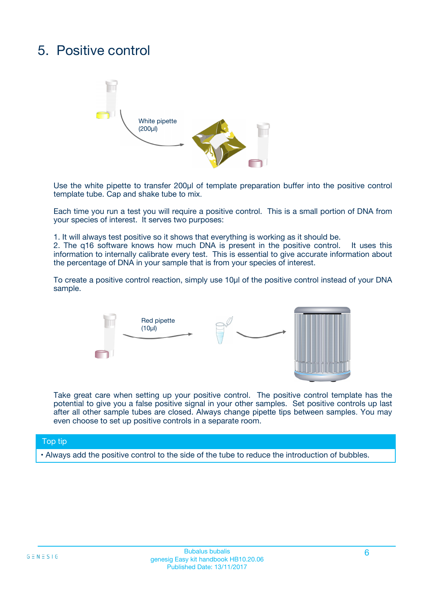# 5. Positive control



Use the white pipette to transfer 200µl of template preparation buffer into the positive control template tube. Cap and shake tube to mix.

Each time you run a test you will require a positive control. This is a small portion of DNA from your species of interest. It serves two purposes:

1. It will always test positive so it shows that everything is working as it should be.

2. The q16 software knows how much DNA is present in the positive control. It uses this information to internally calibrate every test. This is essential to give accurate information about the percentage of DNA in your sample that is from your species of interest.

To create a positive control reaction, simply use 10µl of the positive control instead of your DNA sample.



Take great care when setting up your positive control. The positive control template has the potential to give you a false positive signal in your other samples. Set positive controls up last after all other sample tubes are closed. Always change pipette tips between samples. You may even choose to set up positive controls in a separate room.

#### Top tip

**•** Always add the positive control to the side of the tube to reduce the introduction of bubbles.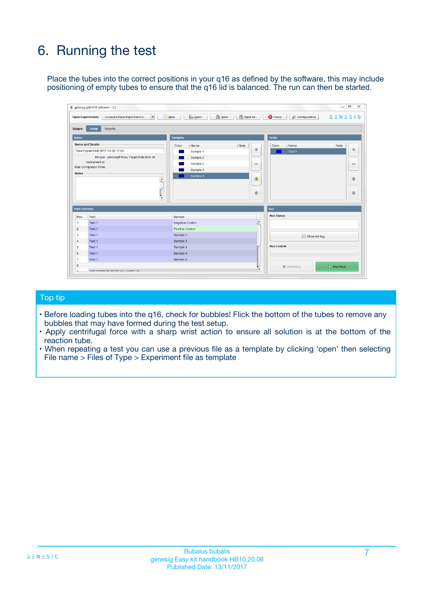# 6. Running the test

Place the tubes into the correct positions in your q16 as defined by the software, this may include positioning of empty tubes to ensure that the q16 lid is balanced. The run can then be started.

|                      | genesig q16 PCR software - 1.2                                                    |                                     | $\Box$                                                                     |
|----------------------|-----------------------------------------------------------------------------------|-------------------------------------|----------------------------------------------------------------------------|
|                      | <b>Open Experiments:</b><br>Unsaved (New Experiment 2<br>$\overline{\phantom{a}}$ | <b>E</b> Open<br>Save<br>$\Box$ New | Save As<br>$G \equiv N \equiv S \mid G$<br><b>C</b> Close<br>Configuration |
| Stages:              | Setup<br><b>Results</b>                                                           |                                     |                                                                            |
| <b>Notes</b>         |                                                                                   | <b>Samples</b>                      | <b>Tests</b>                                                               |
|                      | <b>Name and Details</b>                                                           | Note<br>Color<br>Name               | Color<br>Name<br>Note                                                      |
|                      | New Experiment 2017-10-26 11:06                                                   | Sample 1                            | 유<br>÷<br>Test <sub>1</sub>                                                |
|                      | Kit type: genesig® Easy Target Detection kit                                      | Sample 2                            |                                                                            |
|                      | Instrument Id.:                                                                   | Sample 3                            | $\qquad \qquad \blacksquare$<br>$\qquad \qquad \blacksquare$               |
|                      | <b>Run Completion Time:</b>                                                       | Sample 4                            |                                                                            |
| <b>Notes</b>         | $\blacktriangle$                                                                  | Sample 5                            | ♦                                                                          |
|                      |                                                                                   |                                     | 4                                                                          |
|                      |                                                                                   |                                     |                                                                            |
|                      |                                                                                   |                                     | ÷<br>€                                                                     |
|                      | $\overline{\mathbf{v}}$                                                           |                                     |                                                                            |
| <b>Well Contents</b> |                                                                                   |                                     | Run                                                                        |
| Pos.                 | Test                                                                              | Sample                              | <b>Run Status</b>                                                          |
| 1                    | Test 1                                                                            | <b>Negative Control</b>             | $\blacktriangle$                                                           |
| $\overline{2}$       | Test 1                                                                            | <b>Positive Control</b>             |                                                                            |
| 3                    | Test 1                                                                            | Sample 1                            | Show full log                                                              |
| $\overline{4}$       | Test 1                                                                            | Sample 2                            |                                                                            |
| 5                    | Test 1                                                                            | Sample 3                            | <b>Run Control</b>                                                         |
| 6                    | Test 1                                                                            | Sample 4                            |                                                                            |
| $\overline{7}$       | Test 1                                                                            | Sample 5                            |                                                                            |
|                      |                                                                                   |                                     |                                                                            |
| 8                    |                                                                                   |                                     | $\triangleright$ Start Run<br>Abort Run<br>$\overline{\mathbf{v}}$         |

#### Top tip

- Before loading tubes into the q16, check for bubbles! Flick the bottom of the tubes to remove any bubbles that may have formed during the test setup.
- Apply centrifugal force with a sharp wrist action to ensure all solution is at the bottom of the reaction tube.
- When repeating a test you can use a previous file as a template by clicking 'open' then selecting File name > Files of Type > Experiment file as template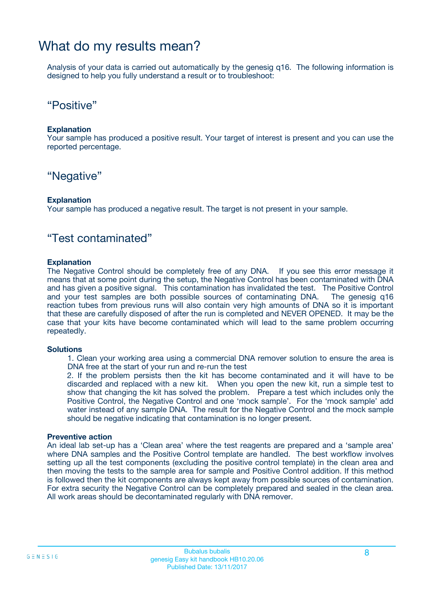### What do my results mean?

Analysis of your data is carried out automatically by the genesig q16. The following information is designed to help you fully understand a result or to troubleshoot:

### "Positive"

#### **Explanation**

Your sample has produced a positive result. Your target of interest is present and you can use the reported percentage.

### "Negative"

#### **Explanation**

Your sample has produced a negative result. The target is not present in your sample.

### "Test contaminated"

#### **Explanation**

The Negative Control should be completely free of any DNA. If you see this error message it means that at some point during the setup, the Negative Control has been contaminated with DNA and has given a positive signal. This contamination has invalidated the test. The Positive Control and your test samples are both possible sources of contaminating DNA. The genesig q16 reaction tubes from previous runs will also contain very high amounts of DNA so it is important that these are carefully disposed of after the run is completed and NEVER OPENED. It may be the case that your kits have become contaminated which will lead to the same problem occurring repeatedly.

#### **Solutions**

1. Clean your working area using a commercial DNA remover solution to ensure the area is DNA free at the start of your run and re-run the test

2. If the problem persists then the kit has become contaminated and it will have to be discarded and replaced with a new kit. When you open the new kit, run a simple test to show that changing the kit has solved the problem. Prepare a test which includes only the Positive Control, the Negative Control and one 'mock sample'. For the 'mock sample' add water instead of any sample DNA. The result for the Negative Control and the mock sample should be negative indicating that contamination is no longer present.

#### **Preventive action**

An ideal lab set-up has a 'Clean area' where the test reagents are prepared and a 'sample area' where DNA samples and the Positive Control template are handled. The best workflow involves setting up all the test components (excluding the positive control template) in the clean area and then moving the tests to the sample area for sample and Positive Control addition. If this method is followed then the kit components are always kept away from possible sources of contamination. For extra security the Negative Control can be completely prepared and sealed in the clean area. All work areas should be decontaminated regularly with DNA remover.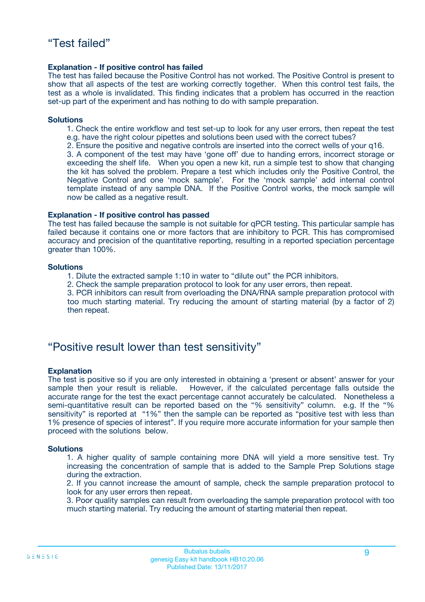#### **Explanation - If positive control has failed**

The test has failed because the Positive Control has not worked. The Positive Control is present to show that all aspects of the test are working correctly together. When this control test fails, the test as a whole is invalidated. This finding indicates that a problem has occurred in the reaction set-up part of the experiment and has nothing to do with sample preparation.

#### **Solutions**

- 1. Check the entire workflow and test set-up to look for any user errors, then repeat the test e.g. have the right colour pipettes and solutions been used with the correct tubes?
- 2. Ensure the positive and negative controls are inserted into the correct wells of your q16.

3. A component of the test may have 'gone off' due to handing errors, incorrect storage or exceeding the shelf life. When you open a new kit, run a simple test to show that changing the kit has solved the problem. Prepare a test which includes only the Positive Control, the Negative Control and one 'mock sample'. For the 'mock sample' add internal control template instead of any sample DNA. If the Positive Control works, the mock sample will now be called as a negative result.

#### **Explanation - If positive control has passed**

The test has failed because the sample is not suitable for qPCR testing. This particular sample has failed because it contains one or more factors that are inhibitory to PCR. This has compromised accuracy and precision of the quantitative reporting, resulting in a reported speciation percentage greater than 100%.

#### **Solutions**

- 1. Dilute the extracted sample 1:10 in water to "dilute out" the PCR inhibitors.
- 2. Check the sample preparation protocol to look for any user errors, then repeat.

3. PCR inhibitors can result from overloading the DNA/RNA sample preparation protocol with too much starting material. Try reducing the amount of starting material (by a factor of 2) then repeat.

### "Positive result lower than test sensitivity"

#### **Explanation**

The test is positive so if you are only interested in obtaining a 'present or absent' answer for your sample then your result is reliable. However, if the calculated percentage falls outside the accurate range for the test the exact percentage cannot accurately be calculated. Nonetheless a semi-quantitative result can be reported based on the "% sensitivity" column. e.g. If the "% sensitivity" is reported at "1%" then the sample can be reported as "positive test with less than 1% presence of species of interest". If you require more accurate information for your sample then proceed with the solutions below.

#### **Solutions**

1. A higher quality of sample containing more DNA will yield a more sensitive test. Try increasing the concentration of sample that is added to the Sample Prep Solutions stage during the extraction.

2. If you cannot increase the amount of sample, check the sample preparation protocol to look for any user errors then repeat.

3. Poor quality samples can result from overloading the sample preparation protocol with too much starting material. Try reducing the amount of starting material then repeat.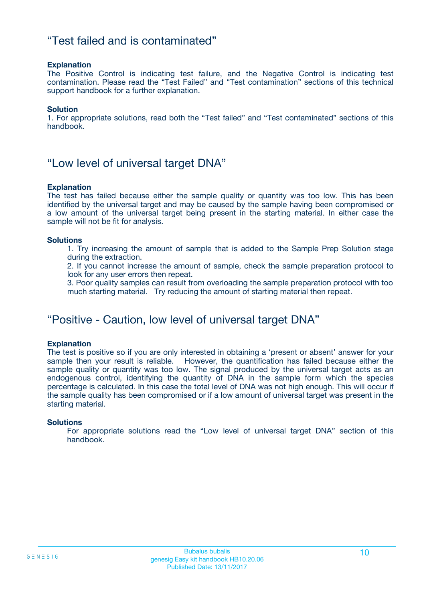### "Test failed and is contaminated"

#### **Explanation**

The Positive Control is indicating test failure, and the Negative Control is indicating test contamination. Please read the "Test Failed" and "Test contamination" sections of this technical support handbook for a further explanation.

#### **Solution**

1. For appropriate solutions, read both the "Test failed" and "Test contaminated" sections of this handbook.

### "Low level of universal target DNA"

#### **Explanation**

The test has failed because either the sample quality or quantity was too low. This has been identified by the universal target and may be caused by the sample having been compromised or a low amount of the universal target being present in the starting material. In either case the sample will not be fit for analysis.

#### **Solutions**

1. Try increasing the amount of sample that is added to the Sample Prep Solution stage during the extraction.

2. If you cannot increase the amount of sample, check the sample preparation protocol to look for any user errors then repeat.

3. Poor quality samples can result from overloading the sample preparation protocol with too much starting material. Try reducing the amount of starting material then repeat.

### "Positive - Caution, low level of universal target DNA"

#### **Explanation**

The test is positive so if you are only interested in obtaining a 'present or absent' answer for your sample then your result is reliable. However, the quantification has failed because either the sample quality or quantity was too low. The signal produced by the universal target acts as an endogenous control, identifying the quantity of DNA in the sample form which the species percentage is calculated. In this case the total level of DNA was not high enough. This will occur if the sample quality has been compromised or if a low amount of universal target was present in the starting material.

#### **Solutions**

For appropriate solutions read the "Low level of universal target DNA" section of this handbook.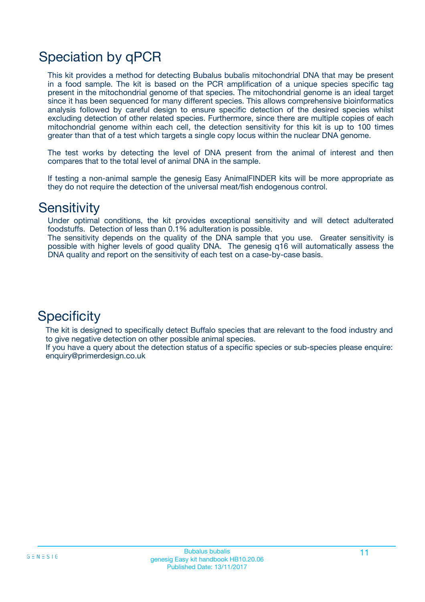# Speciation by qPCR

This kit provides a method for detecting Bubalus bubalis mitochondrial DNA that may be present in a food sample. The kit is based on the PCR amplification of a unique species specific tag present in the mitochondrial genome of that species. The mitochondrial genome is an ideal target since it has been sequenced for many different species. This allows comprehensive bioinformatics analysis followed by careful design to ensure specific detection of the desired species whilst excluding detection of other related species. Furthermore, since there are multiple copies of each mitochondrial genome within each cell, the detection sensitivity for this kit is up to 100 times greater than that of a test which targets a single copy locus within the nuclear DNA genome.

The test works by detecting the level of DNA present from the animal of interest and then compares that to the total level of animal DNA in the sample.

If testing a non-animal sample the genesig Easy AnimalFINDER kits will be more appropriate as they do not require the detection of the universal meat/fish endogenous control.

### **Sensitivity**

Under optimal conditions, the kit provides exceptional sensitivity and will detect adulterated foodstuffs. Detection of less than 0.1% adulteration is possible.

The sensitivity depends on the quality of the DNA sample that you use. Greater sensitivity is possible with higher levels of good quality DNA. The genesig q16 will automatically assess the DNA quality and report on the sensitivity of each test on a case-by-case basis.

### **Specificity**

The kit is designed to specifically detect Buffalo species that are relevant to the food industry and to give negative detection on other possible animal species.

If you have a query about the detection status of a specific species or sub-species please enquire: enquiry@primerdesign.co.uk